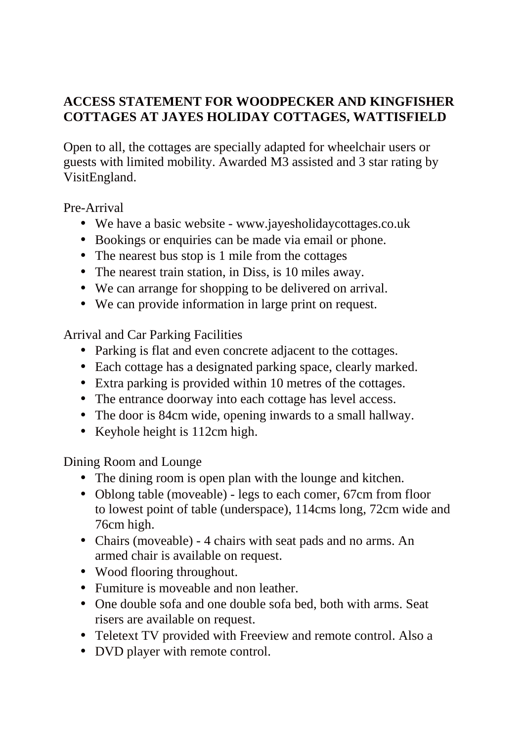## **ACCESS STATEMENT FOR WOODPECKER AND KINGFISHER COTTAGES AT JAYES HOLIDAY COTTAGES, WATTISFIELD**

Open to all, the cottages are specially adapted for wheelchair users or guests with limited mobility. Awarded M3 assisted and 3 star rating by VisitEngland.

Pre-Arrival

- We have a basic website www.jayesholidaycottages.co.uk
- Bookings or enquiries can be made via email or phone.
- The nearest bus stop is 1 mile from the cottages
- The nearest train station, in Diss, is 10 miles away.
- We can arrange for shopping to be delivered on arrival.
- We can provide information in large print on request.

Arrival and Car Parking Facilities

- Parking is flat and even concrete adjacent to the cottages.
- Each cottage has a designated parking space, clearly marked.
- Extra parking is provided within 10 metres of the cottages.
- The entrance doorway into each cottage has level access.
- The door is 84cm wide, opening inwards to a small hallway.
- Keyhole height is 112cm high.

Dining Room and Lounge

- The dining room is open plan with the lounge and kitchen.
- Oblong table (moveable) legs to each comer, 67cm from floor to lowest point of table (underspace), 114cms long, 72cm wide and 76cm high.
- Chairs (moveable) 4 chairs with seat pads and no arms. An armed chair is available on request.
- Wood flooring throughout.
- Fumiture is moveable and non leather.
- One double sofa and one double sofa bed, both with arms. Seat risers are available on request.
- Teletext TV provided with Freeview and remote control. Also a
- DVD player with remote control.